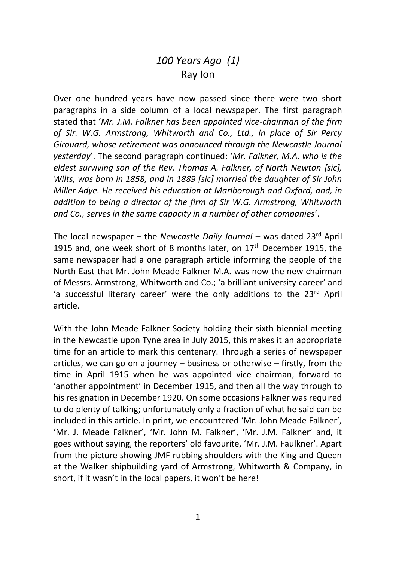## *100 Years Ago (1)* Ray Ion

Over one hundred years have now passed since there were two short paragraphs in a side column of a local newspaper. The first paragraph stated that '*Mr. J.M. Falkner has been appointed vice-chairman of the firm of Sir. W.G. Armstrong, Whitworth and Co., Ltd., in place of Sir Percy Girouard, whose retirement was announced through the Newcastle Journal yesterday*'. The second paragraph continued: '*Mr. Falkner, M.A. who is the eldest surviving son of the Rev. Thomas A. Falkner, of North Newton [sic], Wilts, was born in 1858, and in 1889 [sic] married the daughter of Sir John Miller Adye. He received his education at Marlborough and Oxford, and, in addition to being a director of the firm of Sir W.G. Armstrong, Whitworth and Co., serves in the same capacity in a number of other companies*'.

The local newspaper – the *Newcastle Daily Journal* – was dated 23rd April 1915 and, one week short of 8 months later, on  $17<sup>th</sup>$  December 1915, the same newspaper had a one paragraph article informing the people of the North East that Mr. John Meade Falkner M.A. was now the new chairman of Messrs. Armstrong, Whitworth and Co.; 'a brilliant university career' and 'a successful literary career' were the only additions to the 23<sup>rd</sup> April article.

With the John Meade Falkner Society holding their sixth biennial meeting in the Newcastle upon Tyne area in July 2015, this makes it an appropriate time for an article to mark this centenary. Through a series of newspaper articles, we can go on a journey – business or otherwise – firstly, from the time in April 1915 when he was appointed vice chairman, forward to 'another appointment' in December 1915, and then all the way through to his resignation in December 1920. On some occasions Falkner was required to do plenty of talking; unfortunately only a fraction of what he said can be included in this article. In print, we encountered 'Mr. John Meade Falkner', 'Mr. J. Meade Falkner', 'Mr. John M. Falkner', 'Mr. J.M. Falkner' and, it goes without saying, the reporters' old favourite, 'Mr. J.M. Faulkner'. Apart from the picture showing JMF rubbing shoulders with the King and Queen at the Walker shipbuilding yard of Armstrong, Whitworth & Company, in short, if it wasn't in the local papers, it won't be here!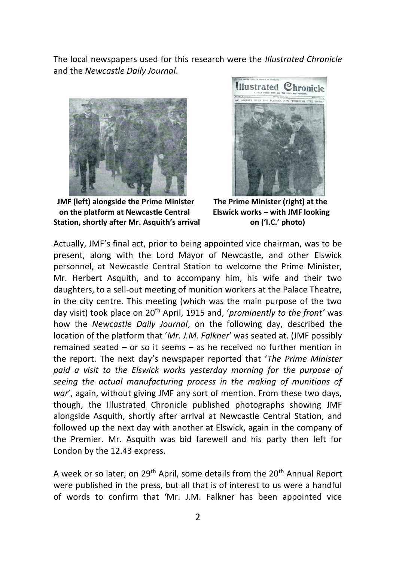The local newspapers used for this research were the *Illustrated Chronicle* and the *Newcastle Daily Journal*.



 **JMF (left) alongside the Prime Minister The Prime Minister (right) at the on the platform at Newcastle Central Elswick works – with JMF looking Station, shortly after Mr. Asquith's arrival on ('I.C.' photo)**



Actually, JMF's final act, prior to being appointed vice chairman, was to be present, along with the Lord Mayor of Newcastle, and other Elswick personnel, at Newcastle Central Station to welcome the Prime Minister, Mr. Herbert Asquith, and to accompany him, his wife and their two daughters, to a sell-out meeting of munition workers at the Palace Theatre, in the city centre. This meeting (which was the main purpose of the two day visit) took place on 20<sup>th</sup> April, 1915 and, '*prominently to the front'* was how the *Newcastle Daily Journal*, on the following day, described the location of the platform that '*Mr. J.M. Falkner*' was seated at. (JMF possibly remained seated – or so it seems – as he received no further mention in the report. The next day's newspaper reported that '*The Prime Minister paid a visit to the Elswick works yesterday morning for the purpose of seeing the actual manufacturing process in the making of munitions of war*', again, without giving JMF any sort of mention. From these two days, though, the Illustrated Chronicle published photographs showing JMF alongside Asquith, shortly after arrival at Newcastle Central Station, and followed up the next day with another at Elswick, again in the company of the Premier. Mr. Asquith was bid farewell and his party then left for London by the 12.43 express.

A week or so later, on 29<sup>th</sup> April, some details from the 20<sup>th</sup> Annual Report were published in the press, but all that is of interest to us were a handful of words to confirm that 'Mr. J.M. Falkner has been appointed vice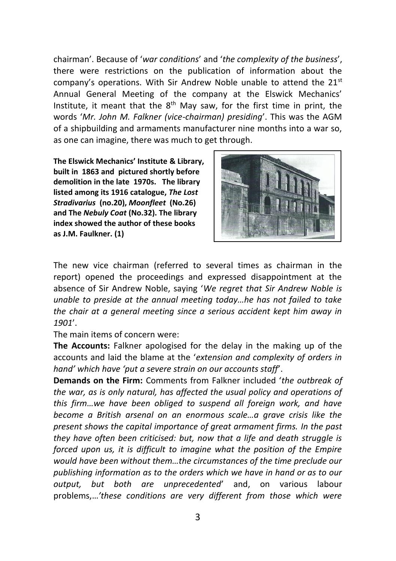chairman'. Because of '*war conditions*' and '*the complexity of the business*', there were restrictions on the publication of information about the company's operations. With Sir Andrew Noble unable to attend the  $21<sup>st</sup>$ Annual General Meeting of the company at the Elswick Mechanics' Institute, it meant that the  $8<sup>th</sup>$  May saw, for the first time in print, the words '*Mr. John M. Falkner (vice-chairman) presiding*'. This was the AGM of a shipbuilding and armaments manufacturer nine months into a war so, as one can imagine, there was much to get through.

**The Elswick Mechanics' Institute & Library, built in 1863 and pictured shortly before demolition in the late 1970s. The library listed among its 1916 catalogue,** *The Lost Stradivarius* **(no.20),** *Moonfleet* **(No.26) and The** *Nebuly Coat* **(No.32). The library index showed the author of these books as J.M. Faulkner. (1)**



The new vice chairman (referred to several times as chairman in the report) opened the proceedings and expressed disappointment at the absence of Sir Andrew Noble, saying '*We regret that Sir Andrew Noble is unable to preside at the annual meeting today…he has not failed to take the chair at a general meeting since a serious accident kept him away in 1901*'.

The main items of concern were:

**The Accounts:** Falkner apologised for the delay in the making up of the accounts and laid the blame at the '*extension and complexity of orders in hand' which have 'put a severe strain on our accounts staff*'.

**Demands on the Firm:** Comments from Falkner included '*the outbreak of the war, as is only natural, has affected the usual policy and operations of this firm…we have been obliged to suspend all foreign work, and have become a British arsenal on an enormous scale…a grave crisis like the present shows the capital importance of great armament firms. In the past they have often been criticised: but, now that a life and death struggle is forced upon us, it is difficult to imagine what the position of the Empire would have been without them…the circumstances of the time preclude our publishing information as to the orders which we have in hand or as to our output, but both are unprecedented*' and, on various labour problems,…*'these conditions are very different from those which were*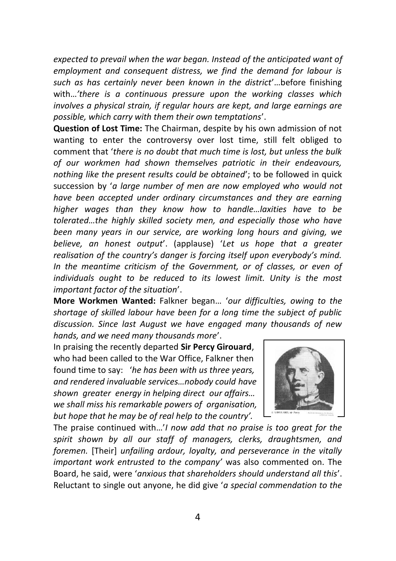*expected to prevail when the war began. Instead of the anticipated want of employment and consequent distress, we find the demand for labour is such as has certainly never been known in the district*'…before finishing with…*'there is a continuous pressure upon the working classes which involves a physical strain, if regular hours are kept, and large earnings are possible, which carry with them their own temptations*'.

**Question of Lost Time:** The Chairman, despite by his own admission of not wanting to enter the controversy over lost time, still felt obliged to comment that '*there is no doubt that much time is lost, but unless the bulk of our workmen had shown themselves patriotic in their endeavours, nothing like the present results could be obtained*'; to be followed in quick succession by '*a large number of men are now employed who would not have been accepted under ordinary circumstances and they are earning higher wages than they know how to handle…laxities have to be tolerated…the highly skilled society men, and especially those who have been many years in our service, are working long hours and giving, we believe, an honest output*'. (applause) '*Let us hope that a greater realisation of the country's danger is forcing itself upon everybody's mind. In the meantime criticism of the Government, or of classes, or even of individuals ought to be reduced to its lowest limit. Unity is the most important factor of the situation*'.

**More Workmen Wanted:** Falkner began… '*our difficulties, owing to the shortage of skilled labour have been for a long time the subject of public discussion. Since last August we have engaged many thousands of new hands, and we need many thousands more*'.

In praising the recently departed **Sir Percy Girouard**, who had been called to the War Office, Falkner then found time to say: '*he has been with us three years, and rendered invaluable services…nobody could have shown greater energy in helping direct our affairs… we shall miss his remarkable powers of organisation, but hope that he may be of real help to the country'.*



The praise continued with…'*I now add that no praise is too great for the spirit shown by all our staff of managers, clerks, draughtsmen, and foremen.* [Their] *unfailing ardour, loyalty, and perseverance in the vitally important work entrusted to the company'* was also commented on. The Board, he said, were '*anxious that shareholders should understand all this*'. Reluctant to single out anyone, he did give '*a special commendation to the*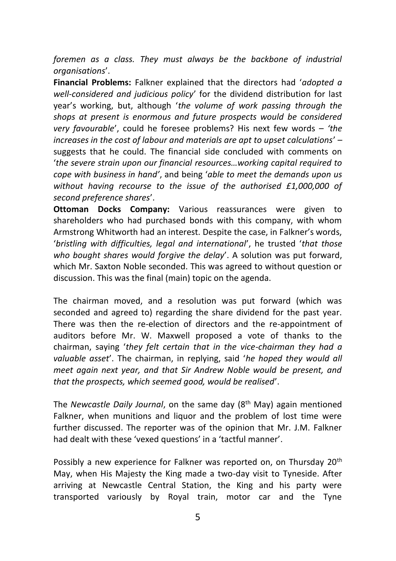*foremen as a class. They must always be the backbone of industrial organisations*'.

**Financial Problems:** Falkner explained that the directors had '*adopted a well-considered and judicious policy*' for the dividend distribution for last year's working, but, although '*the volume of work passing through the shops at present is enormous and future prospects would be considered very favourable*', could he foresee problems? His next few words – *'the increases in the cost of labour and materials are apt to upset calculations*' – suggests that he could. The financial side concluded with comments on '*the severe strain upon our financial resources…working capital required to cope with business in hand'*, and being '*able to meet the demands upon us without having recourse to the issue of the authorised £1,000,000 of second preference shares*'.

**Ottoman Docks Company:** Various reassurances were given to shareholders who had purchased bonds with this company, with whom Armstrong Whitworth had an interest. Despite the case, in Falkner's words, '*bristling with difficulties, legal and international*', he trusted '*that those who bought shares would forgive the delay*'. A solution was put forward, which Mr. Saxton Noble seconded. This was agreed to without question or discussion. This was the final (main) topic on the agenda.

The chairman moved, and a resolution was put forward (which was seconded and agreed to) regarding the share dividend for the past year. There was then the re-election of directors and the re-appointment of auditors before Mr. W. Maxwell proposed a vote of thanks to the chairman, saying '*they felt certain that in the vice-chairman they had a valuable asset*'. The chairman, in replying, said '*he hoped they would all meet again next year, and that Sir Andrew Noble would be present, and that the prospects, which seemed good, would be realised*'.

The *Newcastle Daily Journal*, on the same day (8<sup>th</sup> May) again mentioned Falkner, when munitions and liquor and the problem of lost time were further discussed. The reporter was of the opinion that Mr. J.M. Falkner had dealt with these 'vexed questions' in a 'tactful manner'.

Possibly a new experience for Falkner was reported on, on Thursday 20<sup>th</sup> May, when His Majesty the King made a two-day visit to Tyneside. After arriving at Newcastle Central Station, the King and his party were transported variously by Royal train, motor car and the Tyne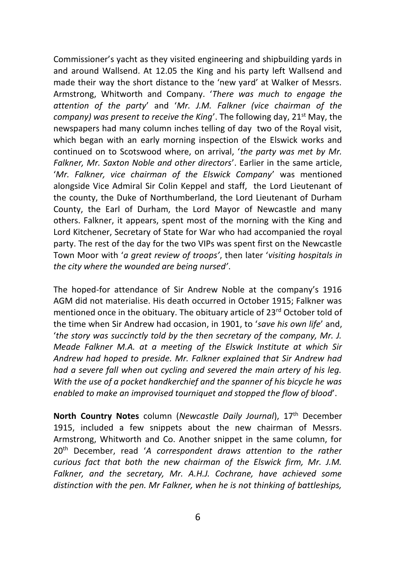Commissioner's yacht as they visited engineering and shipbuilding yards in and around Wallsend. At 12.05 the King and his party left Wallsend and made their way the short distance to the 'new yard' at Walker of Messrs. Armstrong, Whitworth and Company. '*There was much to engage the attention of the party*' and '*Mr. J.M. Falkner (vice chairman of the company) was present to receive the King'*. The following day, 21<sup>st</sup> May, the newspapers had many column inches telling of day two of the Royal visit, which began with an early morning inspection of the Elswick works and continued on to Scotswood where, on arrival, '*the party was met by Mr. Falkner, Mr. Saxton Noble and other directors*'. Earlier in the same article, '*Mr. Falkner, vice chairman of the Elswick Company*' was mentioned alongside Vice Admiral Sir Colin Keppel and staff, the Lord Lieutenant of the county, the Duke of Northumberland, the Lord Lieutenant of Durham County, the Earl of Durham, the Lord Mayor of Newcastle and many others. Falkner, it appears, spent most of the morning with the King and Lord Kitchener, Secretary of State for War who had accompanied the royal party. The rest of the day for the two VIPs was spent first on the Newcastle Town Moor with '*a great review of troops'*, then later '*visiting hospitals in the city where the wounded are being nursed'*.

The hoped-for attendance of Sir Andrew Noble at the company's 1916 AGM did not materialise. His death occurred in October 1915; Falkner was mentioned once in the obituary. The obituary article of 23<sup>rd</sup> October told of the time when Sir Andrew had occasion, in 1901, to '*save his own life*' and, '*the story was succinctly told by the then secretary of the company, Mr. J. Meade Falkner M.A. at a meeting of the Elswick Institute at which Sir Andrew had hoped to preside. Mr. Falkner explained that Sir Andrew had had a severe fall when out cycling and severed the main artery of his leg. With the use of a pocket handkerchief and the spanner of his bicycle he was enabled to make an improvised tourniquet and stopped the flow of blood*'.

**North Country Notes** column (*Newcastle Daily Journal*), 17th December 1915, included a few snippets about the new chairman of Messrs. Armstrong, Whitworth and Co. Another snippet in the same column, for 20th December, read '*A correspondent draws attention to the rather curious fact that both the new chairman of the Elswick firm, Mr. J.M. Falkner, and the secretary, Mr. A.H.J. Cochrane, have achieved some distinction with the pen. Mr Falkner, when he is not thinking of battleships,*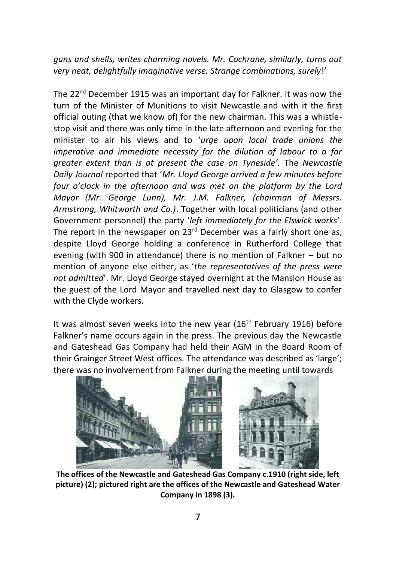*guns and shells, writes charming novels. Mr. Cochrane, similarly, turns out very neat, delightfully imaginative verse. Strange combinations, surely*!'

The 22<sup>nd</sup> December 1915 was an important day for Falkner. It was now the turn of the Minister of Munitions to visit Newcastle and with it the first official outing (that we know of) for the new chairman. This was a whistlestop visit and there was only time in the late afternoon and evening for the minister to air his views and to '*urge upon local trade unions the imperative and immediate necessity for the dilution of labour to a far greater extent than is at present the case on Tyneside'.* The *Newcastle Daily Journal* reported that '*Mr. Lloyd George arrived a few minutes before four o'clock in the afternoon and was met on the platform by the Lord Mayor (Mr. George Lunn), Mr. J.M. Falkner, (chairman of Messrs. Armstrong, Whitworth and Co.)*. Together with local politicians (and other Government personnel) the party '*left immediately for the Elswick works*'. The report in the newspaper on 23<sup>rd</sup> December was a fairly short one as, despite Lloyd George holding a conference in Rutherford College that evening (with 900 in attendance) there is no mention of Falkner – but no mention of anyone else either, as '*the representatives of the press were not admitted*'. Mr. Lloyd George stayed overnight at the Mansion House as the guest of the Lord Mayor and travelled next day to Glasgow to confer with the Clyde workers.

It was almost seven weeks into the new year  $(16<sup>th</sup>$  February 1916) before Falkner's name occurs again in the press. The previous day the Newcastle and Gateshead Gas Company had held their AGM in the Board Room of their Grainger Street West offices. The attendance was described as 'large'; there was no involvement from Falkner during the meeting until towards



**The offices of the Newcastle and Gateshead Gas Company c.1910 (right side, left picture) (2); pictured right are the offices of the Newcastle and Gateshead Water Company in 1898 (3).**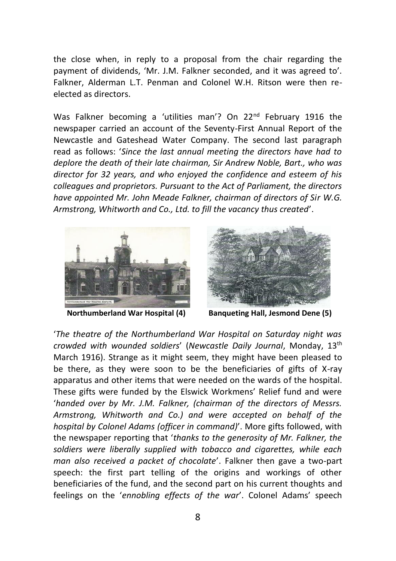the close when, in reply to a proposal from the chair regarding the payment of dividends, 'Mr. J.M. Falkner seconded, and it was agreed to'. Falkner, Alderman L.T. Penman and Colonel W.H. Ritson were then reelected as directors.

Was Falkner becoming a 'utilities man'? On 22<sup>nd</sup> February 1916 the newspaper carried an account of the Seventy-First Annual Report of the Newcastle and Gateshead Water Company. The second last paragraph read as follows: '*Since the last annual meeting the directors have had to deplore the death of their late chairman, Sir Andrew Noble, Bart., who was director for 32 years, and who enjoyed the confidence and esteem of his colleagues and proprietors. Pursuant to the Act of Parliament, the directors have appointed Mr. John Meade Falkner, chairman of directors of Sir W.G. Armstrong, Whitworth and Co., Ltd. to fill the vacancy thus created*'.





 **Northumberland War Hospital (4) Banqueting Hall, Jesmond Dene (5)**

'*The theatre of the Northumberland War Hospital on Saturday night was crowded with wounded soldiers*' (*Newcastle Daily Journal*, Monday, 13th March 1916). Strange as it might seem, they might have been pleased to be there, as they were soon to be the beneficiaries of gifts of X-ray apparatus and other items that were needed on the wards of the hospital. These gifts were funded by the Elswick Workmens' Relief fund and were '*handed over by Mr. J.M. Falkner, (chairman of the directors of Messrs. Armstrong, Whitworth and Co.) and were accepted on behalf of the hospital by Colonel Adams (officer in command)*'. More gifts followed, with the newspaper reporting that '*thanks to the generosity of Mr. Falkner, the soldiers were liberally supplied with tobacco and cigarettes, while each man also received a packet of chocolate*'. Falkner then gave a two-part speech: the first part telling of the origins and workings of other beneficiaries of the fund, and the second part on his current thoughts and feelings on the '*ennobling effects of the war*'. Colonel Adams' speech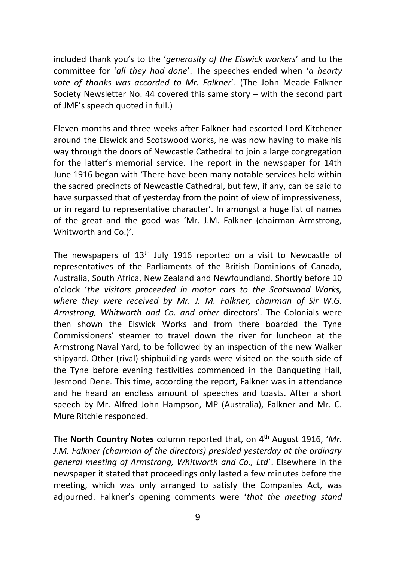included thank you's to the '*generosity of the Elswick workers*' and to the committee for '*all they had done*'. The speeches ended when '*a hearty vote of thanks was accorded to Mr. Falkner*'. (The John Meade Falkner Society Newsletter No. 44 covered this same story – with the second part of JMF's speech quoted in full.)

Eleven months and three weeks after Falkner had escorted Lord Kitchener around the Elswick and Scotswood works, he was now having to make his way through the doors of Newcastle Cathedral to join a large congregation for the latter's memorial service. The report in the newspaper for 14th June 1916 began with 'There have been many notable services held within the sacred precincts of Newcastle Cathedral, but few, if any, can be said to have surpassed that of yesterday from the point of view of impressiveness, or in regard to representative character'. In amongst a huge list of names of the great and the good was 'Mr. J.M. Falkner (chairman Armstrong, Whitworth and Co.)'.

The newspapers of  $13<sup>th</sup>$  July 1916 reported on a visit to Newcastle of representatives of the Parliaments of the British Dominions of Canada, Australia, South Africa, New Zealand and Newfoundland. Shortly before 10 o'clock '*the visitors proceeded in motor cars to the Scotswood Works, where they were received by Mr. J. M. Falkner, chairman of Sir W.G. Armstrong, Whitworth and Co. and other* directors'. The Colonials were then shown the Elswick Works and from there boarded the Tyne Commissioners' steamer to travel down the river for luncheon at the Armstrong Naval Yard, to be followed by an inspection of the new Walker shipyard. Other (rival) shipbuilding yards were visited on the south side of the Tyne before evening festivities commenced in the Banqueting Hall, Jesmond Dene. This time, according the report, Falkner was in attendance and he heard an endless amount of speeches and toasts. After a short speech by Mr. Alfred John Hampson, MP (Australia), Falkner and Mr. C. Mure Ritchie responded.

The **North Country Notes** column reported that, on 4<sup>th</sup> August 1916, '*Mr. J.M. Falkner (chairman of the directors) presided yesterday at the ordinary general meeting of Armstrong, Whitworth and Co., Ltd*'. Elsewhere in the newspaper it stated that proceedings only lasted a few minutes before the meeting, which was only arranged to satisfy the Companies Act, was adjourned. Falkner's opening comments were '*that the meeting stand*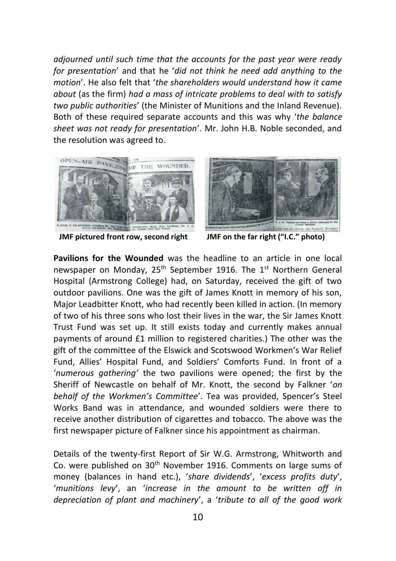*adjourned until such time that the accounts for the past year were ready for presentation*' and that he '*did not think he need add anything to the motion*'. He also felt that '*the shareholders would understand how it came about* (as the firm) *had a mass of intricate problems to deal with to satisfy two public authorities*' (the Minister of Munitions and the Inland Revenue). Both of these required separate accounts and this was why '*the balance sheet was not ready for presentation*'. Mr. John H.B. Noble seconded, and the resolution was agreed to.



 **JMF pictured front row, second right JMF on the far right ("I.C." photo)**



**Pavilions for the Wounded** was the headline to an article in one local newspaper on Monday, 25<sup>th</sup> September 1916. The 1<sup>st</sup> Northern General Hospital (Armstrong College) had, on Saturday, received the gift of two outdoor pavilions. One was the gift of James Knott in memory of his son, Major Leadbitter Knott, who had recently been killed in action. (In memory of two of his three sons who lost their lives in the war, the Sir James Knott Trust Fund was set up. It still exists today and currently makes annual payments of around £1 million to registered charities.) The other was the gift of the committee of the Elswick and Scotswood Workmen's War Relief Fund, Allies' Hospital Fund, and Soldiers' Comforts Fund. In front of a '*numerous gathering'* the two pavilions were opened; the first by the Sheriff of Newcastle on behalf of Mr. Knott, the second by Falkner '*on behalf of the Workmen's Committee*'. Tea was provided, Spencer's Steel Works Band was in attendance, and wounded soldiers were there to receive another distribution of cigarettes and tobacco. The above was the first newspaper picture of Falkner since his appointment as chairman.

Details of the twenty-first Report of Sir W.G. Armstrong, Whitworth and Co. were published on 30<sup>th</sup> November 1916. Comments on large sums of money (balances in hand etc.), '*share dividends*', '*excess profits duty*', '*munitions levy*', an '*increase in the amount to be written off in depreciation of plant and machinery*', a '*tribute to all of the good work*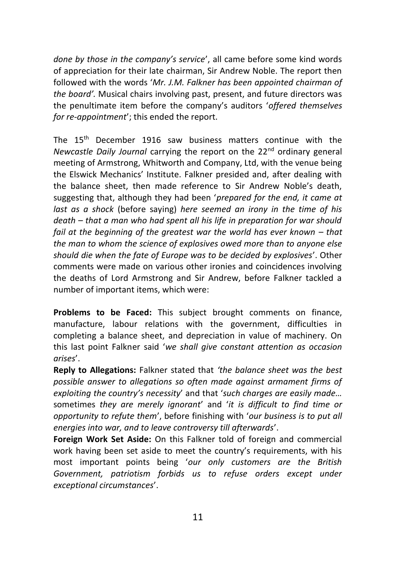*done by those in the company's service*', all came before some kind words of appreciation for their late chairman, Sir Andrew Noble. The report then followed with the words '*Mr. J.M. Falkner has been appointed chairman of the board'.* Musical chairs involving past, present, and future directors was the penultimate item before the company's auditors '*offered themselves for re-appointment*'; this ended the report.

The 15th December 1916 saw business matters continue with the *Newcastle Daily Journal carrying the report on the 22<sup>nd</sup> ordinary general* meeting of Armstrong, Whitworth and Company, Ltd, with the venue being the Elswick Mechanics' Institute. Falkner presided and, after dealing with the balance sheet, then made reference to Sir Andrew Noble's death, suggesting that, although they had been '*prepared for the end, it came at last as a shock* (before saying) *here seemed an irony in the time of his death – that a man who had spent all his life in preparation for war should fail at the beginning of the greatest war the world has ever known – that the man to whom the science of explosives owed more than to anyone else should die when the fate of Europe was to be decided by explosives*'. Other comments were made on various other ironies and coincidences involving the deaths of Lord Armstrong and Sir Andrew, before Falkner tackled a number of important items, which were:

**Problems to be Faced:** This subject brought comments on finance, manufacture, labour relations with the government, difficulties in completing a balance sheet, and depreciation in value of machinery. On this last point Falkner said '*we shall give constant attention as occasion arises*'.

**Reply to Allegations:** Falkner stated that *'the balance sheet was the best possible answer to allegations so often made against armament firms of exploiting the country's necessity*' and that '*such charges are easily made…*  sometimes *they are merely ignorant*' and '*it is difficult to find time or opportunity to refute them*', before finishing with '*our business is to put all energies into war, and to leave controversy till afterwards*'.

**Foreign Work Set Aside:** On this Falkner told of foreign and commercial work having been set aside to meet the country's requirements, with his most important points being '*our only customers are the British Government, patriotism forbids us to refuse orders except under exceptional circumstances*'.